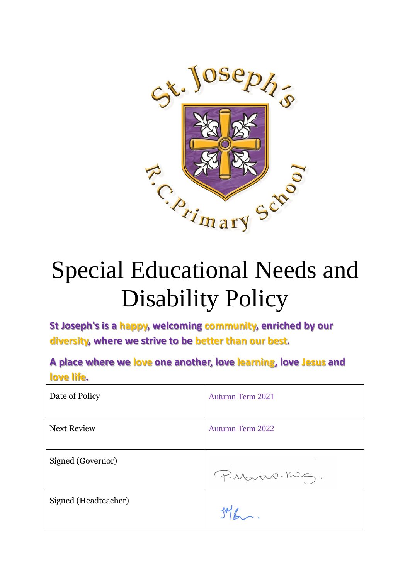

# Special Educational Needs and Disability Policy

**St Joseph's is a happy, welcoming community, enriched by our diversity, where we strive to be better than our best.**

**A place where we love one another, love learning, love Jesus and love life.**

| Date of Policy       | Autumn Term 2021        |
|----------------------|-------------------------|
| <b>Next Review</b>   | <b>Autumn Term 2022</b> |
| Signed (Governor)    | P. Martin-King.         |
| Signed (Headteacher) |                         |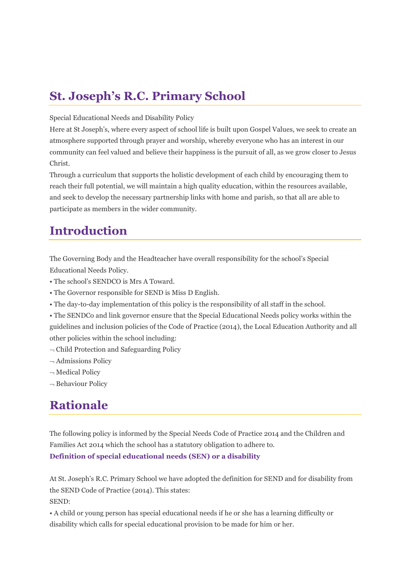# **St. Joseph's R.C. Primary School**

### Special Educational Needs and Disability Policy

Here at St Joseph's, where every aspect of school life is built upon Gospel Values, we seek to create an atmosphere supported through prayer and worship, whereby everyone who has an interest in our community can feel valued and believe their happiness is the pursuit of all, as we grow closer to Jesus Christ.

Through a curriculum that supports the holistic development of each child by encouraging them to reach their full potential, we will maintain a high quality education, within the resources available, and seek to develop the necessary partnership links with home and parish, so that all are able to participate as members in the wider community.

# **Introduction**

The Governing Body and the Headteacher have overall responsibility for the school's Special Educational Needs Policy.

- The school's SENDCO is Mrs A Toward.
- The Governor responsible for SEND is Miss D English.
- The day-to-day implementation of this policy is the responsibility of all staff in the school.

• The SENDCo and link governor ensure that the Special Educational Needs policy works within the guidelines and inclusion policies of the Code of Practice (2014), the Local Education Authority and all other policies within the school including:

- $\neg$  Child Protection and Safeguarding Policy
- $\neg$  Admissions Policy
- $\neg$  Medical Policy
- $\neg$  Behaviour Policy

# **Rationale**

The following policy is informed by the Special Needs Code of Practice 2014 and the Children and Families Act 2014 which the school has a statutory obligation to adhere to. **Definition of special educational needs (SEN) or a disability**

At St. Joseph's R.C. Primary School we have adopted the definition for SEND and for disability from the SEND Code of Practice (2014). This states: SEND:

• A child or young person has special educational needs if he or she has a learning difficulty or disability which calls for special educational provision to be made for him or her.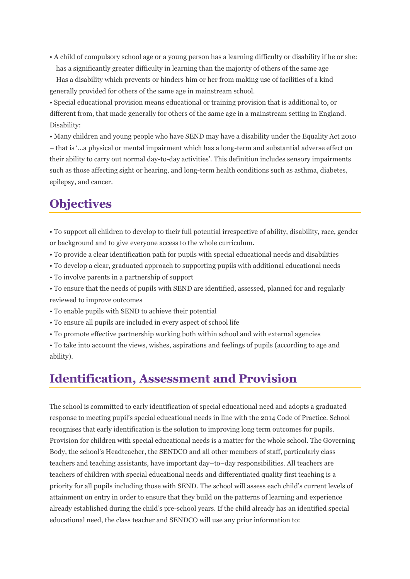• A child of compulsory school age or a young person has a learning difficulty or disability if he or she:

 $\rightarrow$  has a significantly greater difficulty in learning than the majority of others of the same age

 $\rightarrow$  Has a disability which prevents or hinders him or her from making use of facilities of a kind generally provided for others of the same age in mainstream school.

• Special educational provision means educational or training provision that is additional to, or different from, that made generally for others of the same age in a mainstream setting in England. Disability:

• Many children and young people who have SEND may have a disability under the Equality Act 2010 – that is '…a physical or mental impairment which has a long-term and substantial adverse effect on their ability to carry out normal day-to-day activities'. This definition includes sensory impairments such as those affecting sight or hearing, and long-term health conditions such as asthma, diabetes, epilepsy, and cancer.

# **Objectives**

• To support all children to develop to their full potential irrespective of ability, disability, race, gender or background and to give everyone access to the whole curriculum.

- To provide a clear identification path for pupils with special educational needs and disabilities
- To develop a clear, graduated approach to supporting pupils with additional educational needs
- To involve parents in a partnership of support

• To ensure that the needs of pupils with SEND are identified, assessed, planned for and regularly reviewed to improve outcomes

- To enable pupils with SEND to achieve their potential
- To ensure all pupils are included in every aspect of school life
- To promote effective partnership working both within school and with external agencies

• To take into account the views, wishes, aspirations and feelings of pupils (according to age and ability).

### **Identification, Assessment and Provision**

The school is committed to early identification of special educational need and adopts a graduated response to meeting pupil's special educational needs in line with the 2014 Code of Practice. School recognises that early identification is the solution to improving long term outcomes for pupils. Provision for children with special educational needs is a matter for the whole school. The Governing Body, the school's Headteacher, the SENDCO and all other members of staff, particularly class teachers and teaching assistants, have important day–to–day responsibilities. All teachers are teachers of children with special educational needs and differentiated quality first teaching is a priority for all pupils including those with SEND. The school will assess each child's current levels of attainment on entry in order to ensure that they build on the patterns of learning and experience already established during the child's pre-school years. If the child already has an identified special educational need, the class teacher and SENDCO will use any prior information to: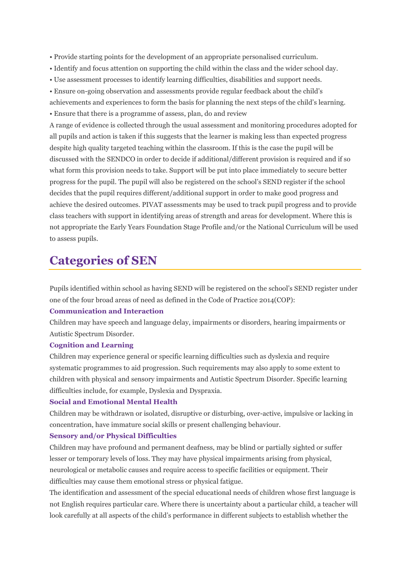- Provide starting points for the development of an appropriate personalised curriculum.
- Identify and focus attention on supporting the child within the class and the wider school day.
- Use assessment processes to identify learning difficulties, disabilities and support needs.

• Ensure on-going observation and assessments provide regular feedback about the child's achievements and experiences to form the basis for planning the next steps of the child's learning.

• Ensure that there is a programme of assess, plan, do and review

A range of evidence is collected through the usual assessment and monitoring procedures adopted for all pupils and action is taken if this suggests that the learner is making less than expected progress despite high quality targeted teaching within the classroom. If this is the case the pupil will be discussed with the SENDCO in order to decide if additional/different provision is required and if so what form this provision needs to take. Support will be put into place immediately to secure better progress for the pupil. The pupil will also be registered on the school's SEND register if the school decides that the pupil requires different/additional support in order to make good progress and achieve the desired outcomes. PIVAT assessments may be used to track pupil progress and to provide class teachers with support in identifying areas of strength and areas for development. Where this is not appropriate the Early Years Foundation Stage Profile and/or the National Curriculum will be used to assess pupils.

### **Categories of SEN**

Pupils identified within school as having SEND will be registered on the school's SEND register under one of the four broad areas of need as defined in the Code of Practice 2014(COP):

### **Communication and Interaction**

Children may have speech and language delay, impairments or disorders, hearing impairments or Autistic Spectrum Disorder.

#### **Cognition and Learning**

Children may experience general or specific learning difficulties such as dyslexia and require systematic programmes to aid progression. Such requirements may also apply to some extent to children with physical and sensory impairments and Autistic Spectrum Disorder. Specific learning difficulties include, for example, Dyslexia and Dyspraxia.

#### **Social and Emotional Mental Health**

Children may be withdrawn or isolated, disruptive or disturbing, over-active, impulsive or lacking in concentration, have immature social skills or present challenging behaviour.

#### **Sensory and/or Physical Difficulties**

Children may have profound and permanent deafness, may be blind or partially sighted or suffer lesser or temporary levels of loss. They may have physical impairments arising from physical, neurological or metabolic causes and require access to specific facilities or equipment. Their difficulties may cause them emotional stress or physical fatigue.

The identification and assessment of the special educational needs of children whose first language is not English requires particular care. Where there is uncertainty about a particular child, a teacher will look carefully at all aspects of the child's performance in different subjects to establish whether the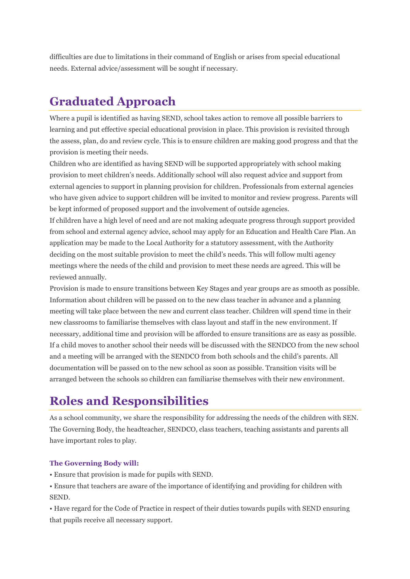difficulties are due to limitations in their command of English or arises from special educational needs. External advice/assessment will be sought if necessary.

# **Graduated Approach**

Where a pupil is identified as having SEND, school takes action to remove all possible barriers to learning and put effective special educational provision in place. This provision is revisited through the assess, plan, do and review cycle. This is to ensure children are making good progress and that the provision is meeting their needs.

Children who are identified as having SEND will be supported appropriately with school making provision to meet children's needs. Additionally school will also request advice and support from external agencies to support in planning provision for children. Professionals from external agencies who have given advice to support children will be invited to monitor and review progress. Parents will be kept informed of proposed support and the involvement of outside agencies.

If children have a high level of need and are not making adequate progress through support provided from school and external agency advice, school may apply for an Education and Health Care Plan. An application may be made to the Local Authority for a statutory assessment, with the Authority deciding on the most suitable provision to meet the child's needs. This will follow multi agency meetings where the needs of the child and provision to meet these needs are agreed. This will be reviewed annually.

Provision is made to ensure transitions between Key Stages and year groups are as smooth as possible. Information about children will be passed on to the new class teacher in advance and a planning meeting will take place between the new and current class teacher. Children will spend time in their new classrooms to familiarise themselves with class layout and staff in the new environment. If necessary, additional time and provision will be afforded to ensure transitions are as easy as possible. If a child moves to another school their needs will be discussed with the SENDCO from the new school and a meeting will be arranged with the SENDCO from both schools and the child's parents. All documentation will be passed on to the new school as soon as possible. Transition visits will be arranged between the schools so children can familiarise themselves with their new environment.

# **Roles and Responsibilities**

As a school community, we share the responsibility for addressing the needs of the children with SEN. The Governing Body, the headteacher, SENDCO, class teachers, teaching assistants and parents all have important roles to play.

### **The Governing Body will:**

- Ensure that provision is made for pupils with SEND.
- Ensure that teachers are aware of the importance of identifying and providing for children with SEND.

• Have regard for the Code of Practice in respect of their duties towards pupils with SEND ensuring that pupils receive all necessary support.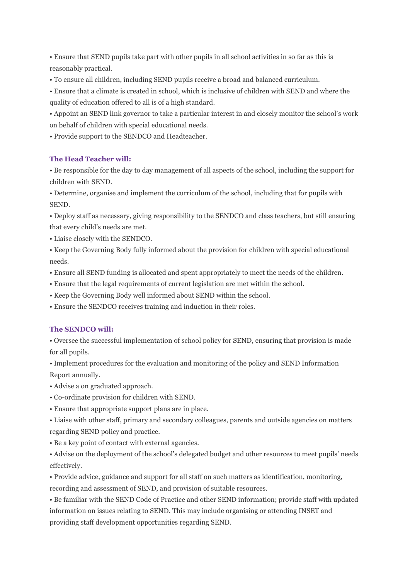• Ensure that SEND pupils take part with other pupils in all school activities in so far as this is reasonably practical.

• To ensure all children, including SEND pupils receive a broad and balanced curriculum.

• Ensure that a climate is created in school, which is inclusive of children with SEND and where the quality of education offered to all is of a high standard.

• Appoint an SEND link governor to take a particular interest in and closely monitor the school's work on behalf of children with special educational needs.

• Provide support to the SENDCO and Headteacher.

### **The Head Teacher will:**

• Be responsible for the day to day management of all aspects of the school, including the support for children with SEND.

• Determine, organise and implement the curriculum of the school, including that for pupils with SEND.

• Deploy staff as necessary, giving responsibility to the SENDCO and class teachers, but still ensuring that every child's needs are met.

• Liaise closely with the SENDCO.

• Keep the Governing Body fully informed about the provision for children with special educational needs.

• Ensure all SEND funding is allocated and spent appropriately to meet the needs of the children.

• Ensure that the legal requirements of current legislation are met within the school.

• Keep the Governing Body well informed about SEND within the school.

• Ensure the SENDCO receives training and induction in their roles.

### **The SENDCO will:**

• Oversee the successful implementation of school policy for SEND, ensuring that provision is made for all pupils.

• Implement procedures for the evaluation and monitoring of the policy and SEND Information Report annually.

• Advise a on graduated approach.

- Co-ordinate provision for children with SEND.
- Ensure that appropriate support plans are in place.

• Liaise with other staff, primary and secondary colleagues, parents and outside agencies on matters regarding SEND policy and practice.

• Be a key point of contact with external agencies.

• Advise on the deployment of the school's delegated budget and other resources to meet pupils' needs effectively.

• Provide advice, guidance and support for all staff on such matters as identification, monitoring, recording and assessment of SEND, and provision of suitable resources.

• Be familiar with the SEND Code of Practice and other SEND information; provide staff with updated information on issues relating to SEND. This may include organising or attending INSET and providing staff development opportunities regarding SEND.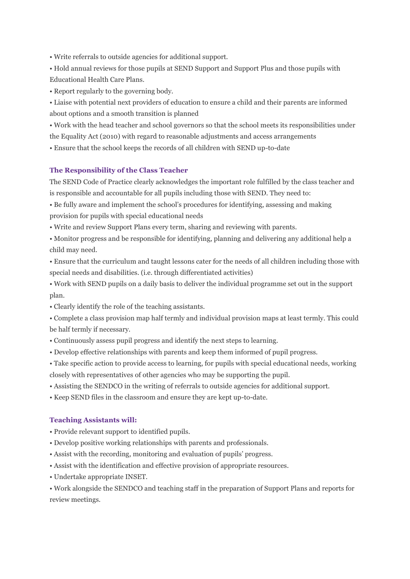• Write referrals to outside agencies for additional support.

• Hold annual reviews for those pupils at SEND Support and Support Plus and those pupils with Educational Health Care Plans.

• Report regularly to the governing body.

• Liaise with potential next providers of education to ensure a child and their parents are informed about options and a smooth transition is planned

• Work with the head teacher and school governors so that the school meets its responsibilities under the Equality Act (2010) with regard to reasonable adjustments and access arrangements

• Ensure that the school keeps the records of all children with SEND up-to-date

### **The Responsibility of the Class Teacher**

The SEND Code of Practice clearly acknowledges the important role fulfilled by the class teacher and is responsible and accountable for all pupils including those with SEND. They need to:

• Be fully aware and implement the school's procedures for identifying, assessing and making provision for pupils with special educational needs

• Write and review Support Plans every term, sharing and reviewing with parents.

• Monitor progress and be responsible for identifying, planning and delivering any additional help a child may need.

• Ensure that the curriculum and taught lessons cater for the needs of all children including those with special needs and disabilities. (i.e. through differentiated activities)

• Work with SEND pupils on a daily basis to deliver the individual programme set out in the support plan.

• Clearly identify the role of the teaching assistants.

• Complete a class provision map half termly and individual provision maps at least termly. This could be half termly if necessary.

- Continuously assess pupil progress and identify the next steps to learning.
- Develop effective relationships with parents and keep them informed of pupil progress.

• Take specific action to provide access to learning, for pupils with special educational needs, working closely with representatives of other agencies who may be supporting the pupil.

• Assisting the SENDCO in the writing of referrals to outside agencies for additional support.

• Keep SEND files in the classroom and ensure they are kept up-to-date.

### **Teaching Assistants will:**

- Provide relevant support to identified pupils.
- Develop positive working relationships with parents and professionals.
- Assist with the recording, monitoring and evaluation of pupils' progress.
- Assist with the identification and effective provision of appropriate resources.
- Undertake appropriate INSET.

• Work alongside the SENDCO and teaching staff in the preparation of Support Plans and reports for review meetings.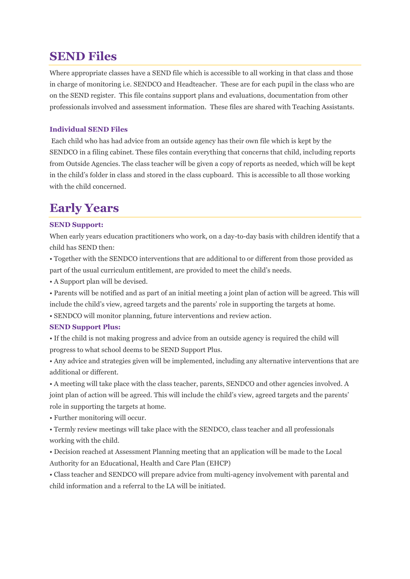### **SEND Files**

Where appropriate classes have a SEND file which is accessible to all working in that class and those in charge of monitoring i.e. SENDCO and Headteacher. These are for each pupil in the class who are on the SEND register. This file contains support plans and evaluations, documentation from other professionals involved and assessment information. These files are shared with Teaching Assistants.

### **Individual SEND Files**

Each child who has had advice from an outside agency has their own file which is kept by the SENDCO in a filing cabinet. These files contain everything that concerns that child, including reports from Outside Agencies. The class teacher will be given a copy of reports as needed, which will be kept in the child's folder in class and stored in the class cupboard. This is accessible to all those working with the child concerned.

# **Early Years**

### **SEND Support:**

When early years education practitioners who work, on a day-to-day basis with children identify that a child has SEND then:

• Together with the SENDCO interventions that are additional to or different from those provided as part of the usual curriculum entitlement, are provided to meet the child's needs.

• A Support plan will be devised.

• Parents will be notified and as part of an initial meeting a joint plan of action will be agreed. This will include the child's view, agreed targets and the parents' role in supporting the targets at home.

• SENDCO will monitor planning, future interventions and review action.

### **SEND Support Plus:**

• If the child is not making progress and advice from an outside agency is required the child will progress to what school deems to be SEND Support Plus.

• Any advice and strategies given will be implemented, including any alternative interventions that are additional or different.

• A meeting will take place with the class teacher, parents, SENDCO and other agencies involved. A joint plan of action will be agreed. This will include the child's view, agreed targets and the parents' role in supporting the targets at home.

• Further monitoring will occur.

• Termly review meetings will take place with the SENDCO, class teacher and all professionals working with the child.

• Decision reached at Assessment Planning meeting that an application will be made to the Local Authority for an Educational, Health and Care Plan (EHCP)

• Class teacher and SENDCO will prepare advice from multi-agency involvement with parental and child information and a referral to the LA will be initiated.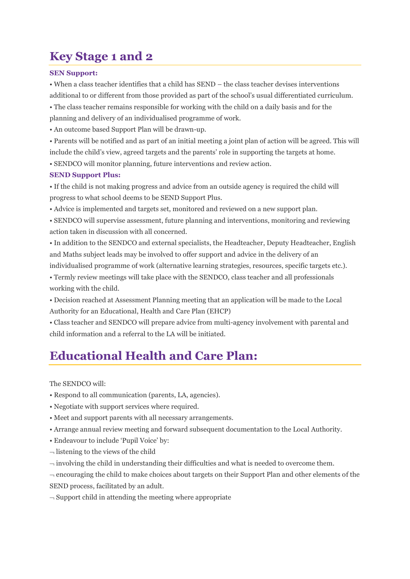### **Key Stage 1 and 2**

### **SEN Support:**

• When a class teacher identifies that a child has SEND – the class teacher devises interventions additional to or different from those provided as part of the school's usual differentiated curriculum. • The class teacher remains responsible for working with the child on a daily basis and for the planning and delivery of an individualised programme of work.

• An outcome based Support Plan will be drawn-up.

• Parents will be notified and as part of an initial meeting a joint plan of action will be agreed. This will include the child's view, agreed targets and the parents' role in supporting the targets at home.

• SENDCO will monitor planning, future interventions and review action.

### **SEND Support Plus:**

• If the child is not making progress and advice from an outside agency is required the child will progress to what school deems to be SEND Support Plus.

• Advice is implemented and targets set, monitored and reviewed on a new support plan.

• SENDCO will supervise assessment, future planning and interventions, monitoring and reviewing action taken in discussion with all concerned.

• In addition to the SENDCO and external specialists, the Headteacher, Deputy Headteacher, English and Maths subject leads may be involved to offer support and advice in the delivery of an

individualised programme of work (alternative learning strategies, resources, specific targets etc.).

• Termly review meetings will take place with the SENDCO, class teacher and all professionals working with the child.

• Decision reached at Assessment Planning meeting that an application will be made to the Local Authority for an Educational, Health and Care Plan (EHCP)

• Class teacher and SENDCO will prepare advice from multi-agency involvement with parental and child information and a referral to the LA will be initiated.

### **Educational Health and Care Plan:**

The SENDCO will:

- Respond to all communication (parents, LA, agencies).
- Negotiate with support services where required.
- Meet and support parents with all necessary arrangements.
- Arrange annual review meeting and forward subsequent documentation to the Local Authority.
- Endeavour to include 'Pupil Voice' by:
- $\lnot$  listening to the views of the child
- $\rightarrow$  involving the child in understanding their difficulties and what is needed to overcome them.

 $\rightarrow$  encouraging the child to make choices about targets on their Support Plan and other elements of the SEND process, facilitated by an adult.

 $\sim$  Support child in attending the meeting where appropriate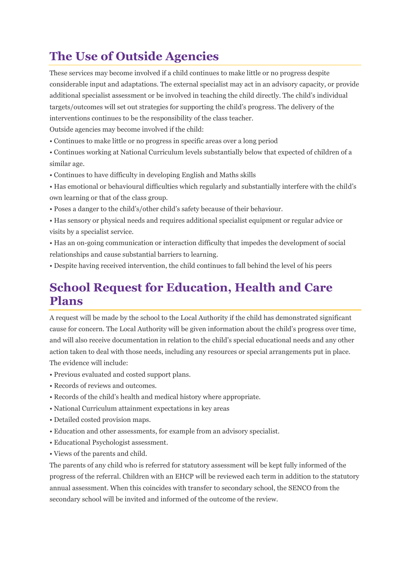# **The Use of Outside Agencies**

These services may become involved if a child continues to make little or no progress despite considerable input and adaptations. The external specialist may act in an advisory capacity, or provide additional specialist assessment or be involved in teaching the child directly. The child's individual targets/outcomes will set out strategies for supporting the child's progress. The delivery of the interventions continues to be the responsibility of the class teacher.

Outside agencies may become involved if the child:

• Continues to make little or no progress in specific areas over a long period

• Continues working at National Curriculum levels substantially below that expected of children of a similar age.

- Continues to have difficulty in developing English and Maths skills
- Has emotional or behavioural difficulties which regularly and substantially interfere with the child's own learning or that of the class group.
- Poses a danger to the child's/other child's safety because of their behaviour.
- Has sensory or physical needs and requires additional specialist equipment or regular advice or visits by a specialist service.
- Has an on-going communication or interaction difficulty that impedes the development of social relationships and cause substantial barriers to learning.
- Despite having received intervention, the child continues to fall behind the level of his peers

### **School Request for Education, Health and Care Plans**

A request will be made by the school to the Local Authority if the child has demonstrated significant cause for concern. The Local Authority will be given information about the child's progress over time, and will also receive documentation in relation to the child's special educational needs and any other action taken to deal with those needs, including any resources or special arrangements put in place. The evidence will include:

- Previous evaluated and costed support plans.
- Records of reviews and outcomes.
- Records of the child's health and medical history where appropriate.
- National Curriculum attainment expectations in key areas
- Detailed costed provision maps.
- Education and other assessments, for example from an advisory specialist.
- Educational Psychologist assessment.
- Views of the parents and child.

The parents of any child who is referred for statutory assessment will be kept fully informed of the progress of the referral. Children with an EHCP will be reviewed each term in addition to the statutory annual assessment. When this coincides with transfer to secondary school, the SENCO from the secondary school will be invited and informed of the outcome of the review.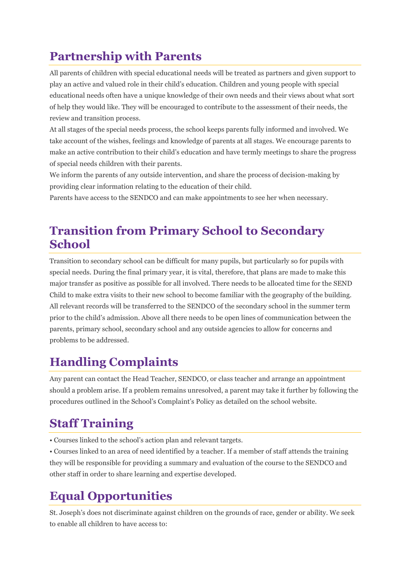# **Partnership with Parents**

All parents of children with special educational needs will be treated as partners and given support to play an active and valued role in their child's education. Children and young people with special educational needs often have a unique knowledge of their own needs and their views about what sort of help they would like. They will be encouraged to contribute to the assessment of their needs, the review and transition process.

At all stages of the special needs process, the school keeps parents fully informed and involved. We take account of the wishes, feelings and knowledge of parents at all stages. We encourage parents to make an active contribution to their child's education and have termly meetings to share the progress of special needs children with their parents.

We inform the parents of any outside intervention, and share the process of decision-making by providing clear information relating to the education of their child.

Parents have access to the SENDCO and can make appointments to see her when necessary.

# **Transition from Primary School to Secondary School**

Transition to secondary school can be difficult for many pupils, but particularly so for pupils with special needs. During the final primary year, it is vital, therefore, that plans are made to make this major transfer as positive as possible for all involved. There needs to be allocated time for the SEND Child to make extra visits to their new school to become familiar with the geography of the building. All relevant records will be transferred to the SENDCO of the secondary school in the summer term prior to the child's admission. Above all there needs to be open lines of communication between the parents, primary school, secondary school and any outside agencies to allow for concerns and problems to be addressed.

# **Handling Complaints**

Any parent can contact the Head Teacher, SENDCO, or class teacher and arrange an appointment should a problem arise. If a problem remains unresolved, a parent may take it further by following the procedures outlined in the School's Complaint's Policy as detailed on the school website.

# **Staff Training**

• Courses linked to the school's action plan and relevant targets.

• Courses linked to an area of need identified by a teacher. If a member of staff attends the training they will be responsible for providing a summary and evaluation of the course to the SENDCO and other staff in order to share learning and expertise developed.

# **Equal Opportunities**

St. Joseph's does not discriminate against children on the grounds of race, gender or ability. We seek to enable all children to have access to: